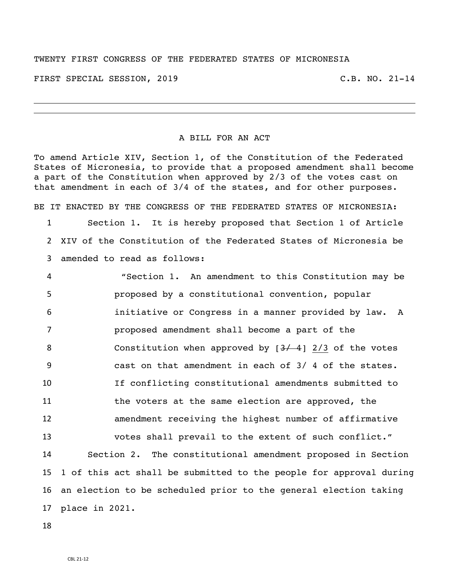## TWENTY FIRST CONGRESS OF THE FEDERATED STATES OF MICRONESIA

FIRST SPECIAL SESSION, 2019 C.B. NO. 21-14

## A BILL FOR AN ACT

To amend Article XIV, Section 1, of the Constitution of the Federated States of Micronesia, to provide that a proposed amendment shall become a part of the Constitution when approved by 2/3 of the votes cast on that amendment in each of 3/4 of the states, and for other purposes.

 Section 1. It is hereby proposed that Section 1 of Article XIV of the Constitution of the Federated States of Micronesia be amended to read as follows:

BE IT ENACTED BY THE CONGRESS OF THE FEDERATED STATES OF MICRONESIA:

 "Section 1. An amendment to this Constitution may be proposed by a constitutional convention, popular initiative or Congress in a manner provided by law. A proposed amendment shall become a part of the 8 Constitution when approved by  $[3/4]$  2/3 of the votes cast on that amendment in each of 3/ 4 of the states. If conflicting constitutional amendments submitted to the voters at the same election are approved, the amendment receiving the highest number of affirmative votes shall prevail to the extent of such conflict." Section 2. The constitutional amendment proposed in Section 1 of this act shall be submitted to the people for approval during an election to be scheduled prior to the general election taking place in 2021.